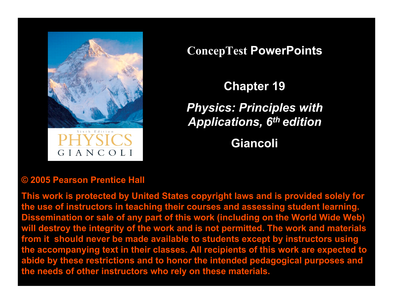

GIANCOLI

**ConcepTest PowerPoints**

**Chapter 19** *Physics: Principles with Applications, 6th edition*

**Giancoli**

#### **© 2005 Pearson Prentice Hall**

**This work is protected by United States copyright laws and is provided solely for the use of instructors in teaching their courses and assessing student learning. Dissemination or sale of any part of this work (including on the World Wide Web) will destroy the integrity of the work and is not permitted. The work and materials from it should never be made available to students except by instructors using the accompanying text in their classes. All recipients of this work are expected to abide by these restrictions and to honor the intended pedagogical purposes and the needs of other instructors who rely on these materials.**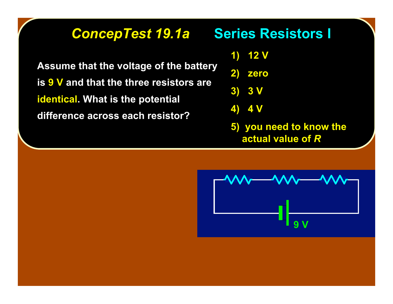#### **ConcepTest 19.1a Series Resistors I**

**Assume that the voltage of the battery Assume that the voltage of the battery is 9 V and that the three resistors are identical identical. What is the potential . What is the potential difference across each resistor? difference across each resistor?**

**1) 12 V**

**2) zero**

**3) 3 V**

**4) 4 V**

**5) you need to know the actual value of** *R*

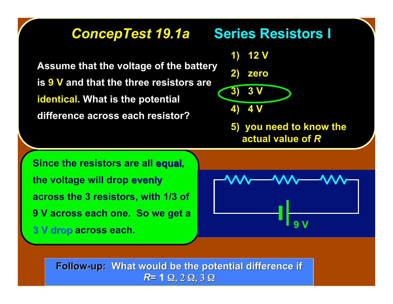#### **ConcepTest 19.1a Series Resistors I**

**Assume that the voltage of the battery Assume that the voltage of the battery is 9 V and that the three resistors are identical. What is the potential difference across each resistor? difference across each resistor?**



**5) you need to know the actual value of** *R*

**Since the resistors are all equal, the voltage will drop evenly across the 3 resistors, with 1/3 of 9 V across each one. So we get a 3 V drop 3 V drop across each.**



**Follow-up: What would be the potential difference if** *R***= 1** Ω, 2 Ω, 3 Ω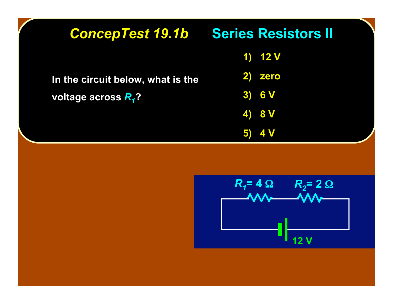| <b>ConcepTest 19.1b Series Resistors II</b>                          |            |  |
|----------------------------------------------------------------------|------------|--|
| In the circuit below, what is the<br>voltage across R <sub>1</sub> ? | 1) $12V$   |  |
|                                                                      | 2) zero    |  |
|                                                                      | 3) 6V      |  |
|                                                                      | 4) 8 V     |  |
|                                                                      | <b>4 V</b> |  |

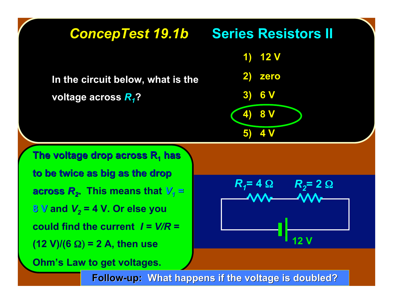

**Follow-up: What happens if the voltage is doubled?**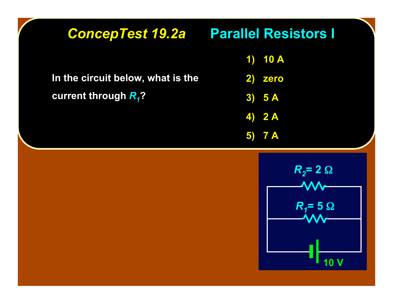| <b>ConcepTest 19.2a Parallel Resistors I</b> |                                                       |
|----------------------------------------------|-------------------------------------------------------|
|                                              | <b>10 A</b><br>$\left\langle \mathbf{1}\right\rangle$ |
| In the circuit below, what is the            | 2)<br>zero                                            |
| current through $R_1$ ?                      | 3) 5A                                                 |
|                                              | $4)$ 2 A                                              |
|                                              | $5)$ 7 A                                              |
|                                              | $R_2 = 2 \Omega$<br>$R_1 = 5 \Omega$                  |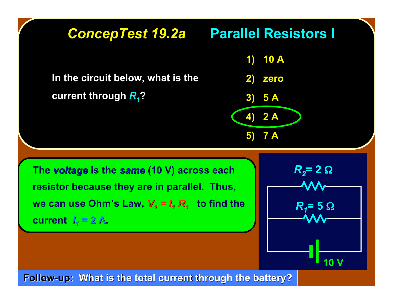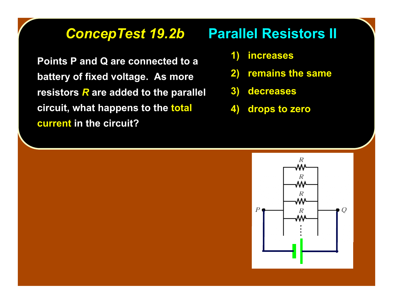**Points P and Q are connected to a battery of fixed voltage. As more battery of fixed voltage. As more resistors** *R* are added to the parallel **circuit, what happens to the total current in the circuit?** 

### **ConcepTest 19.2b Parallel Resistors II**

- **1) increases**
- **2) remains the same**
- **3) decreases**
- **4) drops to zero**

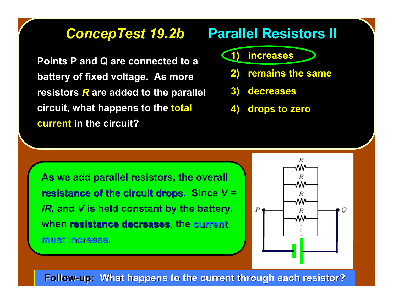**Points P and Q are connected to a battery of fixed voltage. As more battery of fixed voltage. As more resistors** *R* are added to the parallel **circuit, what happens to the total current in the circuit?** 

#### **ConcepTest 19.2b Parallel Resistors II**

#### **1) increases**

- **2) remains the same**
- **3) decreases**
- **4) drops to zero**

**As we add parallel resistors, the overall resistance of the circuit drops. Since**  $V =$ *IR***, and** *V* **is held constant by the battery, when resistance decreases resistance decreases, the current current must increase must increase.**



**Follow-up: What happens to the current through each resistor?**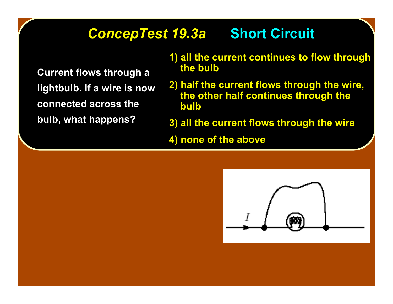#### **ConcepTest 19.3a Short Circuit**

**Current flows through a Current flows through a lightbulb. If a wire is now lightbulb. If a wire is connected across the connected across the bulb, what happens? bulb, what happens?**

- **1) all the current continues to flow through all the current continues to flow through the bulb the bulb**
- **2) half the current flows through the wire, the other half continues through the the other half continues through the bulb**
- **3) all the current flows through the wire all the current flows through the wire**

**4) none of the above** 

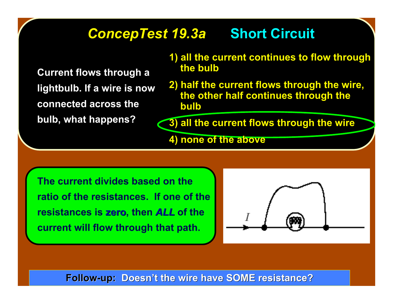### **ConcepTest 19.3a Short Circuit**

**Current flows through a Current flows through a lightbulb. If a wire is now lightbulb. If a wire is connected across the connected across the bulb, what happens? bulb, what happens?**

- **1) all the current continues to flow through the bulb the bulb**
- **2) half the current flows through the wire, the other half continues through the the other half continues through the bulb**

**3) all the current flows through the wire** 

**4) none of the above** 

**The current divides based on the ratio of the resistances. If one of the resistances is zero, then** *ALL* **of the current will flow through that path.**



**Follow-up: Doesn't the wire have SOME resistance?**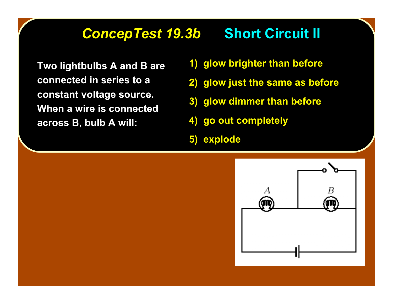#### **ConcepTest 19.3b Short Circuit II**

**Two lightbulbs A and B are connected in series to a connected in series to a constant voltage source. constant voltage source. When a wire is connected When a wire is connected across B, bulb A will: across B, bulb A will:**

- **1) glow brighter than before**
- **2) glow just the same as before glow just the same as before**
- **3) glow dimmer than before glow dimmer than before**
- **4) go out completely 4) go out completely**
- **5) explode 5) explode**

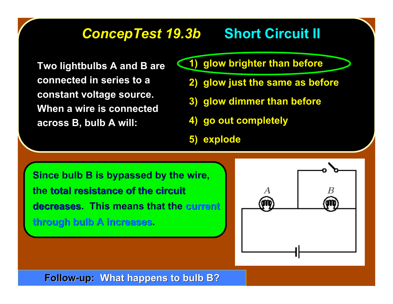#### **ConcepTest 19.3b Short Circuit II**

**Two lightbulbs A and B are connected in series to a connected in series to a constant voltage source. constant voltage source. When a wire is connected When a wire is connected across B, bulb A will: across B, bulb A will:**

- **1) glow brighter than before glow brighter than before**
	- **2) glow just the same as before glow just the same as before**
	- **3) glow dimmer than before glow dimmer than before**
	- **4) go out completely 4) go out completely**
	- **5) explode 5) explode**

**Since bulb B is bypassed by the wire, the total resistance of the circuit total resistance of the circuit decreases decreases. This means that the current current through bulb A increases through bulb A increases.**



**Follow-up: What happens to bulb B?**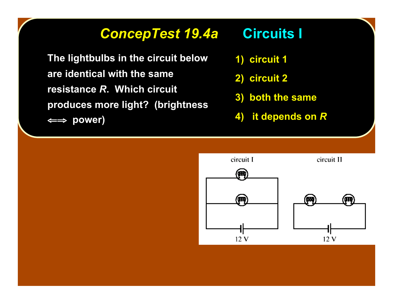### *ConcepTest 19.4a ConcepTest 19.4a* **Circuits I Circuits I**

**The lightbulbs in the circuit below The lightbulbs in the circuit below are identical with the same are identical with the same resistance** *R***. Which circuit produces more light? (brightness produces more light? (brightness** ⇐⇒ **power) power)**

- **1) circuit 1 circuit 1**
- **2) circuit 2 circuit 2**
- **3) both the same both the same**
- **4)** it depends on *R*

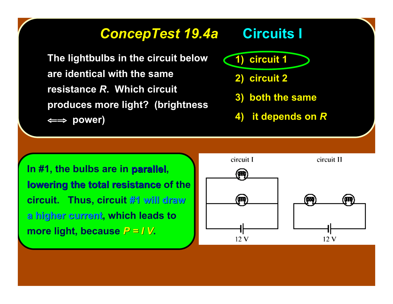#### *ConcepTest 19.4a ConcepTest 19.4a* **Circuits I Circuits I**

**The lightbulbs in the circuit below The lightbulbs in the circuit below are identical with the same are identical with the same resistance R. Which circuit produces more light? (brightness produces more light? (brightness** ⇐⇒ **power) power)**

**1) circuit 1 circuit 1**

- **2) circuit 2 circuit 2**
- **3) both the same both the same**
- **4)** it depends on *R*

In #1, the bulbs are in parallel, **lowering the total resistance of the circuit. Thus, circuit #1 will draw a higher current a higher current, which leads to more light, because**  $P = I V$ .

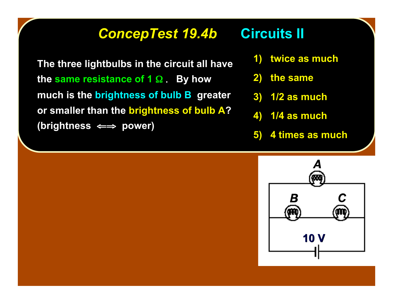### **ConcepTest 19.4b Circuits II**

**The three lightbulbs in the circuit all have** *the same resistance of* **1 Ω . By how** much is the brightness of bulb B greater **or smaller than the brightness of bulb A? (brightness (brightness** ⇐⇒ **power) power)**

- **1) twice as much twice as much**
- **2) the same the same**
- **3) 1/2 as much 1/2 as much**
- **4) 1/4 as much 1/4 as much**
- **5) 4 times as much 4 times as much**

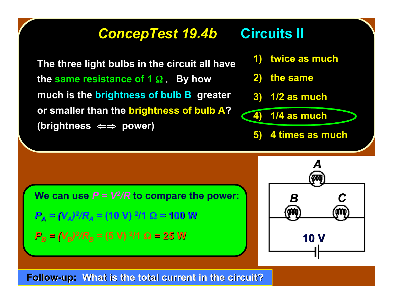#### **ConcepTest 19.4b Circuits II**

**The three light bulbs in the circuit all have The three light bulbs in the circuit all have the same resistance of 1 Ω . By how** much is the brightness of bulb **B** greater **or smaller than the brightness of bulb A? (brightness (brightness** ⇐⇒ **power) power)**

- **1) twice as much twice as much**
- **2) the same the same**
- **3) 1/2 as much 1/2 as much**

$$
(4) 1/4 as much
$$

**5)** 4 times as much

**We can use**  $P = V^2/R$  **to compare the power:** 

$$
P_A = (V_A)^2/R_A = (10 \text{ V})^2/1 \Omega = 100 \text{ W}
$$

$$
P_B = (V_B)^2/R_B = (5 \text{ V})^2/1 \Omega = 25 \text{ W}
$$



**Follow-up: What is the total current in the circuit?**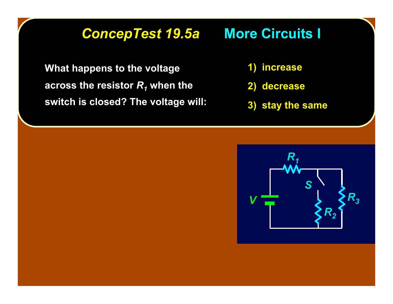### *ConcepTest 19.5a ConcepTest 19.5a* **More Circuits I More Circuits I**

**What happens to the voltage across the resistor**  $R_1$  **when the switch is closed? The voltage will: switch is closed? The voltage will:**

- **1) increase increase**
- **2) decrease decrease**
- **3) stay the same**

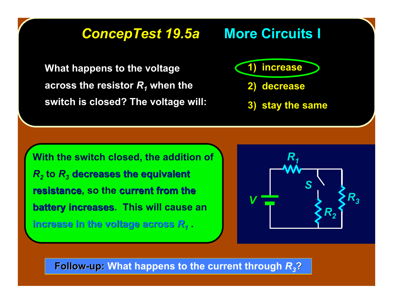#### *ConcepTest 19.5a ConcepTest 19.5a* **More Circuits I More Circuits I**

**What happens to the voltage across the resistor**  $R_1$  **when the switch is closed? The voltage will: switch is closed? The voltage will:** **1) increase increase**

- **2) decrease decrease**
- **3) stay the same**

**With the switch closed, the addition of**  $R<sub>2</sub>$  to  $R<sub>3</sub>$  decreases the equivalent **resistance, so the current from the battery increases battery increases. This will cause an increase in the voltage across increase in the voltage across** *R1* **.**



**Follow-up: Follow-up: What happens to the current through** *R3***?**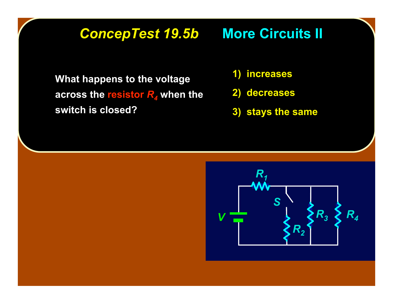### **ConcepTest 19.5b More Circuits II**

**What happens to the voltage across the resistor R<sub>4</sub>** when the **switch is closed? switch is closed?**

- **1) increases increases**
- **2) decreases decreases**
- **3) stays the same**

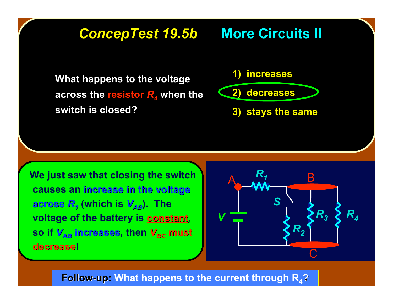### **ConcepTest 19.5b More Circuits II**

**What happens to the voltage What happens to the voltage across the resistor R<sub>4</sub>** when the **switch is closed? switch is closed?**

**1) increases increases**

**2) decreases decreases**

**3) stays the same** 

 **We just saw that closing the switch causes an increase in the voltage increase in the voltage across** *R1* **(which is** *VAB***). The voltage of the battery is constant, so if**  $V_{AB}$  **increases, then**  $V_{BC}$  **must decrease decrease!**



**Follow-up: Follow-up: What happens to the current through R4?**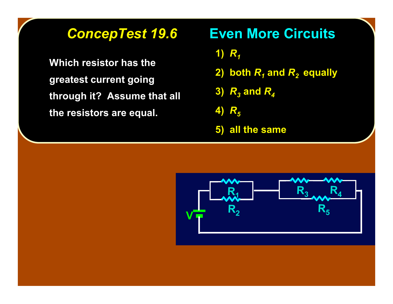**Which resistor has the Which resistor has the greatest current going greatest current going through it? Assume that all through it? Assume that all the resistors are equal. the resistors are equal.**

### *ConcepTest 19.6 ConcepTest 19.6* **Even More Circuits ircuits**

- **1)**  $R_1$
- **2)** both  $R_1$  and  $R_2$  equally
- **3)** *R3* **and** *R4*
- **4)** *R5*
- **5) all the same**

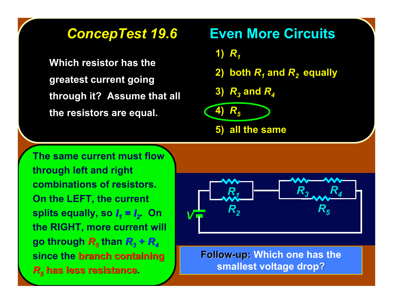**Which resistor has the Which resistor has the greatest current going greatest current going through it? Assume that all through it? Assume that all the resistors are equal. the resistors are equal.**

#### **ConcepTest 19.6 ••• Even More Circuits**

1)  $R_1$ 

- **2) both**  $R_1$  **and**  $R_2$  **equally**
- **3)**  $R_3$  and  $R_4$

$$
\begin{array}{c}\n 4) R_5 \\
\hline\n 5) \n \end{array}
$$

**The same current must flow through left and right combinations of resistors. On the LEFT, the current splits equally, so**  $I_1 = I_2$ **. On the RIGHT, more current will go through**  $R_5$  **than**  $R_3 + R_4$ **since the branch containing** *R<sub>5</sub>* **has less resistance.** 



**Follow-up: Follow-up: Which one has the smallest voltage drop?**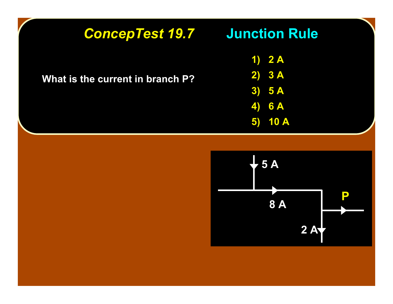## *ConcepTest 19.7 ConcepTest 19.7* **Junction Rule Junction Rule**

**What is the current in branch P? What is the current in branch P?**

**1) 2 A 2) 3 A 3) 5 A 4) 6 A 5) 10 A**

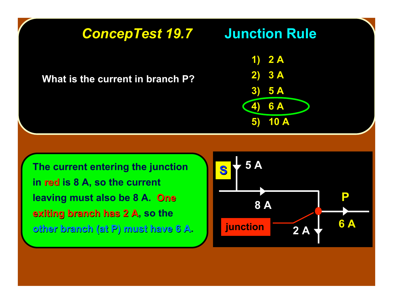# *ConcepTest 19.7 ConcepTest 19.7* **Junction Rule Junction Rule**

**What is the current in branch P?** 



**The current entering the junction in red is 8 A, so the current leaving must also be 8 A. One exiting branch has 2 A, so the other branch (at P) must have 6 A other branch (at P) must have 6 A.**

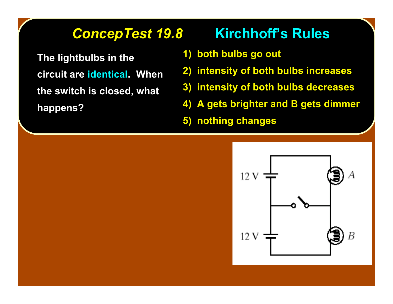**The lightbulbs in the The lightbulbs in the circuit are identical. When the switch is closed, what the switch is closed, what happens? happens?**

### **ConcepTest 19.8 Kirchhoff's Rules**

- **1) both bulbs go out**
- **2) intensity of both bulbs increases**
- **3) intensity of both bulbs decreases**
- **4) A gets brighter and B gets dimmer**
- **5) nothing changes**

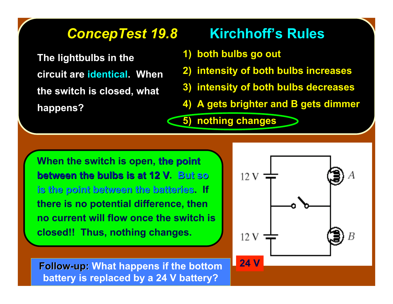**The lightbulbs in the The lightbulbs in the circuit are identical. When the switch is closed, what the switch is closed, what happens? happens?**

### **ConcepTest 19.8 Kirchhoff's Rules**

**1) both bulbs go out**

**5) nothing changes**

- **2) intensity of both bulbs increases**
- **3) intensity of both bulbs decreases**
- **4) A gets brighter and B gets dimmer**

**When the switch is open, the point the point between the bulbs is at 12 V. But so is the point between the batteries is the point between the batteries. If there is no potential difference, then no current will flow once the switch is closed!! Thus, nothing changes.**



**Follow-up: Follow-up: What happens if the bottom 24 V battery is replaced by a 24 V battery?**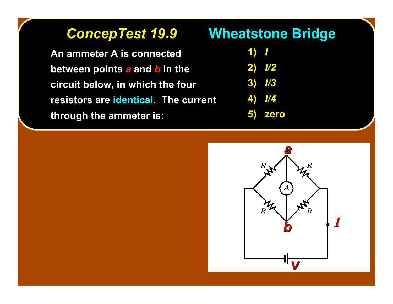**An ammeter A is connected between points a and b in the circuit below, in which the four circuit below, in which the four resistors are identical. The current through the ammeter is: through the ammeter is:**

#### **ConcepTest 19.9 <b>Wheatstone Bridge**

| $\blacksquare$ |
|----------------|
| <b>2)</b> 7/2  |
| $\sqrt{3}$     |
| <u> /4</u>     |
|                |

**5) zero 5) zero**

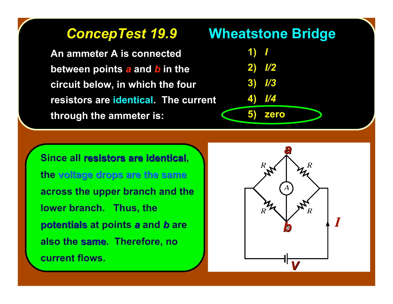**An ammeter A is connected An ammeter A is connected between points a and b in the circuit below, in which the four circuit below, in which the four resistors are identical. The current through the ammeter is: through the ammeter is:**

#### *ConcepTest 19.9 ConcepTest 19.9* **Wheatstone Bridge Wheatstone Bridge**

| <u>1) T</u> |                |
|-------------|----------------|
|             | 2) / <u>/2</u> |
|             | $3)$ //3       |
|             | 4) //4         |
|             | 5) zero        |

*I*

*V*

*b*

*a*

 $\mathcal{A}$ 

**Since all resistors are identical, the voltage drops are the same voltage are the same across the upper branch and the lower branch. Thus, the potentials potentials at points** *a* **and** *b* **are also the same. Therefore, no current flows.**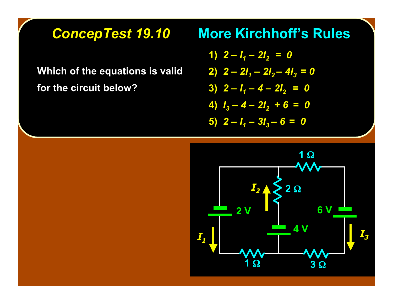**Which of the equations is valid Which of the equations is valid for the circuit below? for the circuit below?**

#### **ConcepTest 19.10 More Kirchhoff's Rules**

- **1)**  $2 I_1 2I_2 = 0$
- **2)**  $2 2I_1 2I_2 4I_3 = 0$ 
	- $\overline{3}$   $\overline{2}$   $\overline{I_1}$  4  $\overline{2I_2}$  = 0

$$
4) I_3 - 4 - 2I_2 + 6 = 0
$$

**5)**  $2 - I_1 - 3I_3 - 6 = 0$ 

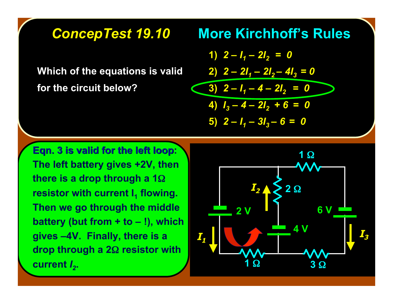#### **ConcepTest 19.10 More Kirchhoff's Rules**

**Which of the equations is valid Which of the equations is valid for the circuit below? for the circuit below?**

$$
1) \quad 2 - l_1 - 2l_2 = 0
$$
\n
$$
2) \quad 2 - 2l_1 - 2l_2 - 4l_3 = 0
$$
\n
$$
3) \quad 2 - l_1 - 4 - 2l_2 = 0
$$
\n
$$
4) \quad l_3 - 4 - 2l_2 + 6 = 0
$$
\n
$$
5) \quad 2 - l_1 - 3l_3 - 6 = 0
$$

**Eqn. 3 is valid for the left loop: The left battery gives +2V, then there is a drop through a 1**Ω **resistor with current I<sub>1</sub> flowing. Then we go through the middle battery (but from + to – !), which gives –4V. Finally, there is a drop through a 2**Ω **resistor with current**  $I_2$ .

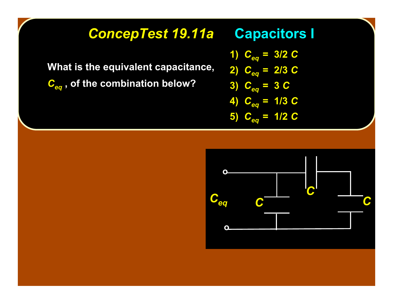### **ConcepTest 19.11a Capacitors I**

**What is the equivalent capacitance, What is the equivalent capacitance, C<sub>eq</sub>**, of the combination below?

**1)**  $C_{eq} = 3/2$  *C* 

$$
2) \quad C_{eq} = 2/3 \ C
$$

$$
3) \quad C_{eq} = 3 \ C
$$

$$
4) C_{eq} = 1/3 C
$$

5) 
$$
C_{eq} = 1/2
$$

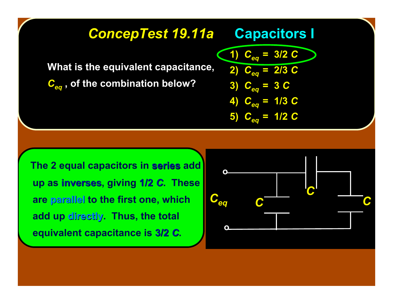### **ConcepTest 19.11a • Capacitors I**

**What is the equivalent capacitance, What is the equivalent capacitance,**

 $\overline{C_{eq}}$ , of the combination below?

**1)**  $C_{eq} = 3/2$   $C$ **2)**  $C_{eq} = 2/3$  *C* **3)**  $C_{eq} = 3 C$  $C_{eq}$  = 1/3  $C$ 5)  $C_{eq} = 1/2$  *C* 

 **The 2 equal capacitors in series add up as inverses inverses, giving 1/2** *C***. These are parallel parallel to the first one, which add up directly. Thus, the total equivalent capacitance is 3/2** *C***.**

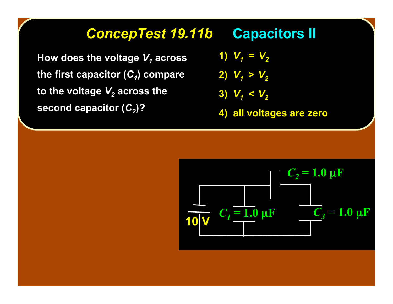#### **ConcepTest 19.11b Capacitors II**

**How does the voltage**  $V_1$  **across the first capacitor**  $(C_1)$  **compare to the voltage**  $V_2$  **across the second capacitor**  $(C_2)$ **?** 

**1)**  $V_1 = V_2$ 

$$
2) V_1 > V_2
$$

$$
3) V_1 < V_2
$$

**4) all voltages are zero 4) voltages are zero**

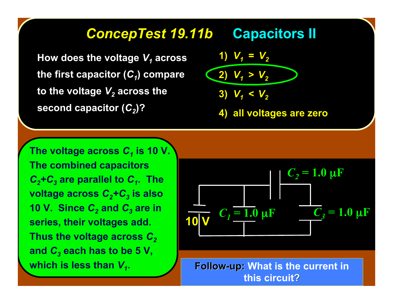#### **ConcepTest 19.11b Capacitors II**

**How does the voltage How does the voltage** *V1* **across the first capacitor**  $(C_1)$  **compare to the voltage V<sub>2</sub>** across the **second capacitor**  $(C_2)$ **?** 

1) 
$$
V_1 = V_2
$$
  
\n2)  $V_1 > V_2$   
\n3)  $V_1 < V_2$ 

**4) all voltages are zero 4) voltages are zero**

*The voltage across C<sub>1</sub> is 10 V.</sub>* **The combined capacitors** *C2+C3* **are parallel to** *C1***. The voltage across** *C2+C3* **is also 10 V. Since**  $C_2$  **and**  $C_3$  **are in series, their voltages add. Thus the voltage across**  $C_2$ and  $C_3$  each has to be 5 V, which is less than  $V_1$ .



**Follow-up: Follow-up: What is the current in this circuit?**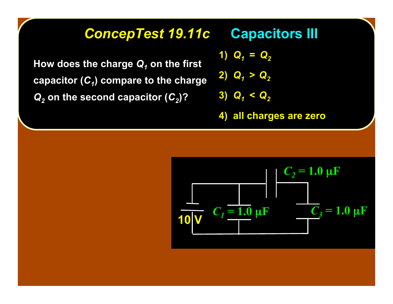#### **ConcepTest 19.11c • Capacitors III**

How does the charge  $Q_1$  on the first **capacitor (C<sub>1</sub>) compare to the charge**  $Q_2$  on the second capacitor ( $C_2$ )?

**1)**  $Q_1 = Q_2$ 

$$
2) Q_1 > Q_2
$$

$$
3) Q_1 < Q_2
$$

**4) all charges are zero 4) all charges are zero**